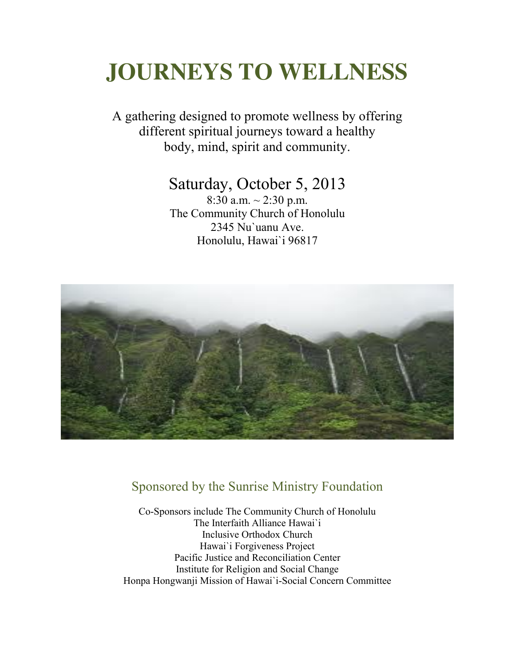# **JOURNEYS TO WELLNESS**

A gathering designed to promote wellness by offering different spiritual journeys toward a healthy body, mind, spirit and community.

## Saturday, October 5, 2013

8:30 a.m.  $\sim$  2:30 p.m. The Community Church of Honolulu 2345 Nu`uanu Ave. Honolulu, Hawai`i 96817



## Sponsored by the Sunrise Ministry Foundation

Co-Sponsors include The Community Church of Honolulu The Interfaith Alliance Hawai`i Inclusive Orthodox Church Hawai`i Forgiveness Project Pacific Justice and Reconciliation Center Institute for Religion and Social Change Honpa Hongwanji Mission of Hawai`i-Social Concern Committee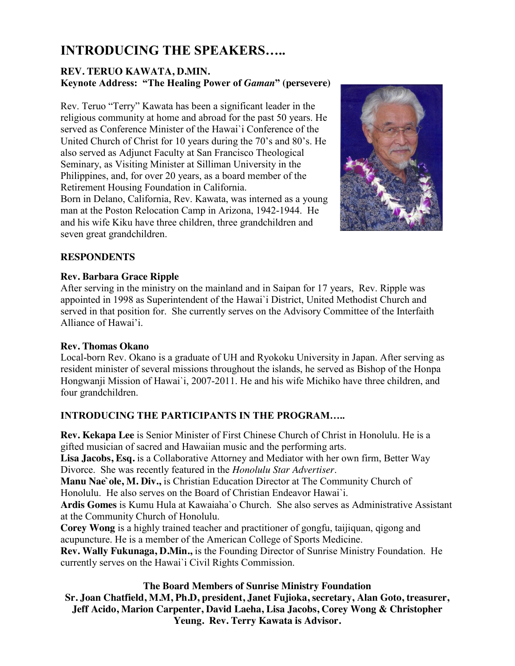## **INTRODUCING THE SPEAKERS…..**

#### **REV. TERUO KAWATA, D.MIN. Keynote Address: "The Healing Power of** *Gaman***" (persevere)**

Rev. Teruo "Terry" Kawata has been a significant leader in the religious community at home and abroad for the past 50 years. He served as Conference Minister of the Hawai`i Conference of the United Church of Christ for 10 years during the 70's and 80's. He also served as Adjunct Faculty at San Francisco Theological Seminary, as Visiting Minister at Silliman University in the Philippines, and, for over 20 years, as a board member of the Retirement Housing Foundation in California.

Born in Delano, California, Rev. Kawata, was interned as a young man at the Poston Relocation Camp in Arizona, 1942-1944. He and his wife Kiku have three children, three grandchildren and seven great grandchildren.



#### **RESPONDENTS**

#### **Rev. Barbara Grace Ripple**

After serving in the ministry on the mainland and in Saipan for 17 years, Rev. Ripple was appointed in 1998 as Superintendent of the Hawai`i District, United Methodist Church and served in that position for. She currently serves on the Advisory Committee of the Interfaith Alliance of Hawai'i.

#### **Rev. Thomas Okano**

Local-born Rev. Okano is a graduate of UH and Ryokoku University in Japan. After serving as resident minister of several missions throughout the islands, he served as Bishop of the Honpa Hongwanji Mission of Hawai`i, 2007-2011. He and his wife Michiko have three children, and four grandchildren.

#### **INTRODUCING THE PARTICIPANTS IN THE PROGRAM…..**

**Rev. Kekapa Lee** is Senior Minister of First Chinese Church of Christ in Honolulu. He is a gifted musician of sacred and Hawaiian music and the performing arts.

**Lisa Jacobs, Esq.** is a Collaborative Attorney and Mediator with her own firm, Better Way Divorce. She was recently featured in the *Honolulu Star Advertiser*.

**Manu Nae`ole, M. Div.,** is Christian Education Director at The Community Church of Honolulu. He also serves on the Board of Christian Endeavor Hawai`i.

**Ardis Gomes** is Kumu Hula at Kawaiaha`o Church. She also serves as Administrative Assistant at the Community Church of Honolulu.

**Corey Wong** is a highly trained teacher and practitioner of gongfu, taijiquan, qigong and acupuncture. He is a member of the American College of Sports Medicine.

**Rev. Wally Fukunaga, D.Min.,** is the Founding Director of Sunrise Ministry Foundation. He currently serves on the Hawai`i Civil Rights Commission.

#### **The Board Members of Sunrise Ministry Foundation**

**Sr. Joan Chatfield, M.M, Ph.D, president, Janet Fujioka, secretary, Alan Goto, treasurer, Jeff Acido, Marion Carpenter, David Laeha, Lisa Jacobs, Corey Wong & Christopher Yeung. Rev. Terry Kawata is Advisor.**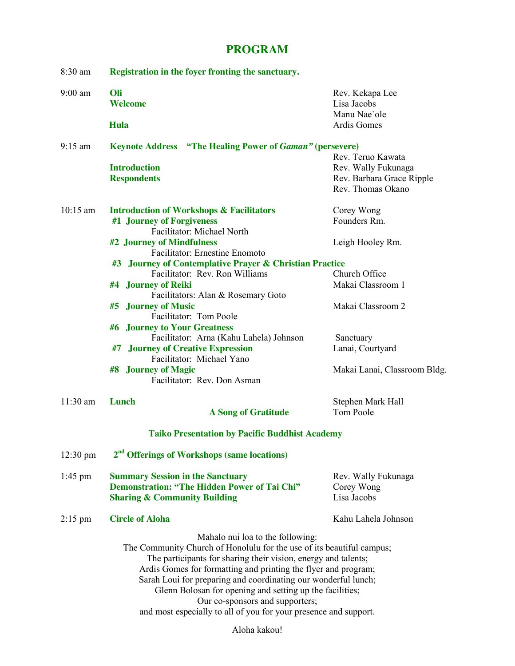### **PROGRAM**

| 8:30 am            | Registration in the foyer fronting the sanctuary.                                                                                                                                                                                                                                                                                                                                                                                                                                  |                                                                                            |
|--------------------|------------------------------------------------------------------------------------------------------------------------------------------------------------------------------------------------------------------------------------------------------------------------------------------------------------------------------------------------------------------------------------------------------------------------------------------------------------------------------------|--------------------------------------------------------------------------------------------|
| $9:00$ am          | Oli<br>Welcome                                                                                                                                                                                                                                                                                                                                                                                                                                                                     | Rev. Kekapa Lee<br>Lisa Jacobs<br>Manu Nae'ole                                             |
|                    | Hula                                                                                                                                                                                                                                                                                                                                                                                                                                                                               | Ardis Gomes                                                                                |
| $9:15$ am          | <b>Keynote Address</b> "The Healing Power of Gaman" (persevere)                                                                                                                                                                                                                                                                                                                                                                                                                    |                                                                                            |
|                    | <b>Introduction</b><br><b>Respondents</b>                                                                                                                                                                                                                                                                                                                                                                                                                                          | Rev. Teruo Kawata<br>Rev. Wally Fukunaga<br>Rev. Barbara Grace Ripple<br>Rev. Thomas Okano |
| $10:15$ am         | <b>Introduction of Workshops &amp; Facilitators</b><br>#1 Journey of Forgiveness<br>Facilitator: Michael North<br>#2 Journey of Mindfulness                                                                                                                                                                                                                                                                                                                                        | Corey Wong<br>Founders Rm.<br>Leigh Hooley Rm.                                             |
|                    | Facilitator: Ernestine Enomoto<br><b>Journey of Contemplative Prayer &amp; Christian Practice</b><br>#3<br>Facilitator: Rev. Ron Williams<br><b>Journey of Reiki</b><br>#4                                                                                                                                                                                                                                                                                                         | Church Office<br>Makai Classroom 1                                                         |
|                    | Facilitators: Alan & Rosemary Goto<br><b>Journey of Music</b><br>#5<br>Facilitator: Tom Poole                                                                                                                                                                                                                                                                                                                                                                                      | Makai Classroom 2                                                                          |
|                    | #6 Journey to Your Greatness<br>Facilitator: Arna (Kahu Lahela) Johnson<br><b>Journey of Creative Expression</b><br>#7<br>Facilitator: Michael Yano                                                                                                                                                                                                                                                                                                                                | Sanctuary<br>Lanai, Courtyard                                                              |
|                    | <b>Journey of Magic</b><br>#8<br>Facilitator: Rev. Don Asman                                                                                                                                                                                                                                                                                                                                                                                                                       | Makai Lanai, Classroom Bldg.                                                               |
| $11:30$ am         | Lunch<br><b>A Song of Gratitude</b>                                                                                                                                                                                                                                                                                                                                                                                                                                                | Stephen Mark Hall<br>Tom Poole                                                             |
|                    | <b>Taiko Presentation by Pacific Buddhist Academy</b>                                                                                                                                                                                                                                                                                                                                                                                                                              |                                                                                            |
| $12:30 \text{ pm}$ | 2 <sup>nd</sup> Offerings of Workshops (same locations)                                                                                                                                                                                                                                                                                                                                                                                                                            |                                                                                            |
| $1:45$ pm          | <b>Summary Session in the Sanctuary</b><br><b>Demonstration: "The Hidden Power of Tai Chi"</b><br><b>Sharing &amp; Community Building</b>                                                                                                                                                                                                                                                                                                                                          | Rev. Wally Fukunaga<br>Corey Wong<br>Lisa Jacobs                                           |
| $2:15$ pm          | <b>Circle of Aloha</b>                                                                                                                                                                                                                                                                                                                                                                                                                                                             | Kahu Lahela Johnson                                                                        |
|                    | Mahalo nui loa to the following:<br>The Community Church of Honolulu for the use of its beautiful campus;<br>The participants for sharing their vision, energy and talents;<br>Ardis Gomes for formatting and printing the flyer and program;<br>Sarah Loui for preparing and coordinating our wonderful lunch;<br>Glenn Bolosan for opening and setting up the facilities;<br>Our co-sponsors and supporters;<br>and most especially to all of you for your presence and support. |                                                                                            |

Aloha kakou!